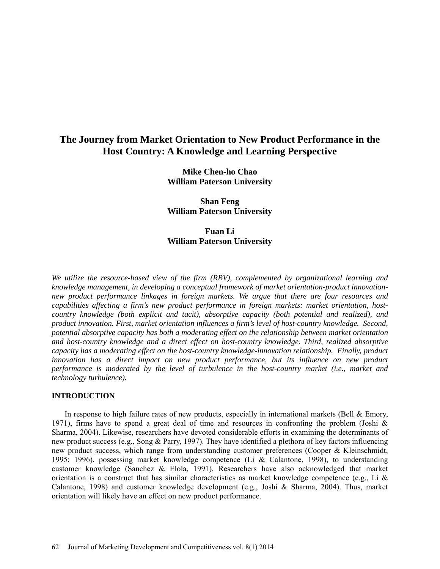# **The Journey from Market Orientation to New Product Performance in the Host Country: A Knowledge and Learning Perspective**

**Mike Chen-ho Chao William Paterson University**

**Shan Feng William Paterson University**

**Fuan Li William Paterson University**

*We utilize the resource-based view of the firm (RBV), complemented by organizational learning and knowledge management, in developing a conceptual framework of market orientation-product innovationnew product performance linkages in foreign markets. We argue that there are four resources and capabilities affecting a firm's new product performance in foreign markets: market orientation, hostcountry knowledge (both explicit and tacit), absorptive capacity (both potential and realized), and product innovation. First, market orientation influences a firm's level of host-country knowledge. Second, potential absorptive capacity has both a moderating effect on the relationship between market orientation and host-country knowledge and a direct effect on host-country knowledge. Third, realized absorptive capacity has a moderating effect on the host-country knowledge-innovation relationship. Finally, product innovation has a direct impact on new product performance, but its influence on new product performance is moderated by the level of turbulence in the host-country market (i.e., market and technology turbulence).*

#### **INTRODUCTION**

In response to high failure rates of new products, especially in international markets (Bell & Emory, 1971), firms have to spend a great deal of time and resources in confronting the problem (Joshi  $\&$ Sharma, 2004). Likewise, researchers have devoted considerable efforts in examining the determinants of new product success (e.g., Song & Parry, 1997). They have identified a plethora of key factors influencing new product success, which range from understanding customer preferences (Cooper & Kleinschmidt, 1995; 1996), possessing market knowledge competence (Li & Calantone, 1998), to understanding customer knowledge (Sanchez & Elola, 1991). Researchers have also acknowledged that market orientation is a construct that has similar characteristics as market knowledge competence (e.g., Li  $\&$ Calantone, 1998) and customer knowledge development (e.g., Joshi & Sharma, 2004). Thus, market orientation will likely have an effect on new product performance.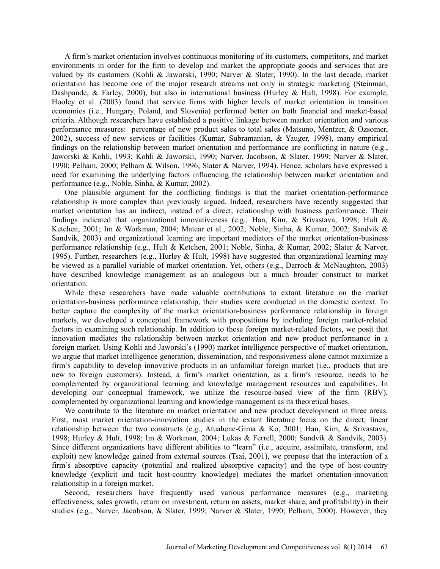A firm's market orientation involves continuous monitoring of its customers, competitors, and market environments in order for the firm to develop and market the appropriate goods and services that are valued by its customers (Kohli & Jaworski, 1990; Narver & Slater, 1990). In the last decade, market orientation has become one of the major research streams not only in strategic marketing (Steinman, Dashpande, & Farley, 2000), but also in international business (Hurley & Hult, 1998). For example, Hooley et al. (2003) found that service firms with higher levels of market orientation in transition economies (i.e., Hungary, Poland, and Slovenia) performed better on both financial and market-based criteria. Although researchers have established a positive linkage between market orientation and various performance measures: percentage of new product sales to total sales (Matsuno, Mentzer, & Ozsomer, 2002), success of new services or facilities (Kumar, Subramanian, & Yauger, 1998), many empirical findings on the relationship between market orientation and performance are conflicting in nature (e.g., Jaworski & Kohli, 1993; Kohli & Jaworski, 1990; Narver, Jacobson, & Slater, 1999; Narver & Slater, 1990; Pelham, 2000; Pelham & Wilson, 1996; Slater & Narver, 1994). Hence, scholars have expressed a need for examining the underlying factors influencing the relationship between market orientation and performance (e.g., Noble, Sinha, & Kumar, 2002).

One plausible argument for the conflicting findings is that the market orientation-performance relationship is more complex than previously argued. Indeed, researchers have recently suggested that market orientation has an indirect, instead of a direct, relationship with business performance. Their findings indicated that organizational innovativeness (e.g., Han, Kim, & Srivastava, 1998; Hult & Ketchen, 2001; Im & Workman, 2004; Matear et al., 2002; Noble, Sinha, & Kumar, 2002; Sandvik & Sandvik, 2003) and organizational learning are important mediators of the market orientation-business performance relationship (e.g., Hult & Ketchen, 2001; Noble, Sinha, & Kumar, 2002; Slater & Narver, 1995). Further, researchers (e.g., Hurley & Hult, 1998) have suggested that organizational learning may be viewed as a parallel variable of market orientation. Yet, others (e.g., Darroch & McNaughton, 2003) have described knowledge management as an analogous but a much broader construct to market orientation.

While these researchers have made valuable contributions to extant literature on the market orientation-business performance relationship, their studies were conducted in the domestic context. To better capture the complexity of the market orientation-business performance relationship in foreign markets, we developed a conceptual framework with propositions by including foreign market-related factors in examining such relationship. In addition to these foreign market-related factors, we posit that innovation mediates the relationship between market orientation and new product performance in a foreign market. Using Kohli and Jaworski's (1990) market intelligence perspective of market orientation, we argue that market intelligence generation, dissemination, and responsiveness alone cannot maximize a firm's capability to develop innovative products in an unfamiliar foreign market (i.e., products that are new to foreign customers). Instead, a firm's market orientation, as a firm's resource, needs to be complemented by organizational learning and knowledge management resources and capabilities. In developing our conceptual framework, we utilize the resource-based view of the firm (RBV), complemented by organizational learning and knowledge management as its theoretical bases.

We contribute to the literature on market orientation and new product development in three areas. First, most market orientation-innovation studies in the extant literature focus on the direct, linear relationship between the two constructs (e.g., Atuahene-Gima & Ko, 2001; Han, Kim, & Srivastava, 1998; Hurley & Hult, 1998; Im & Workman, 2004; Lukas & Ferrell, 2000; Sandvik & Sandvik, 2003). Since different organizations have different abilities to "learn" (i.e., acquire, assimilate, transform, and exploit) new knowledge gained from external sources (Tsai, 2001), we propose that the interaction of a firm's absorptive capacity (potential and realized absorptive capacity) and the type of host-country knowledge (explicit and tacit host-country knowledge) mediates the market orientation-innovation relationship in a foreign market.

Second, researchers have frequently used various performance measures (e.g., marketing effectiveness, sales growth, return on investment, return on assets, market share, and profitability) in their studies (e.g., Narver, Jacobson, & Slater, 1999; Narver & Slater, 1990; Pelham, 2000). However, they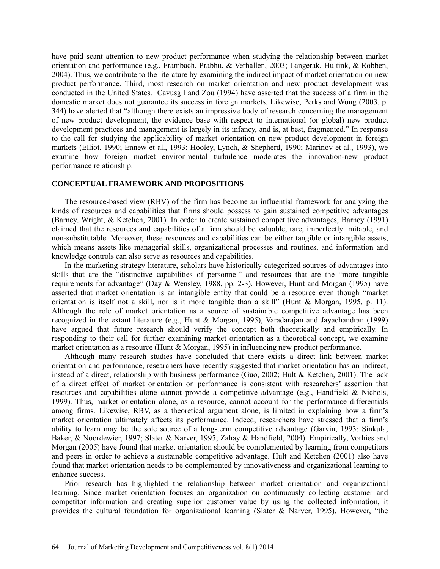have paid scant attention to new product performance when studying the relationship between market orientation and performance (e.g., Frambach, Prabhu, & Verhallen, 2003; Langerak, Hultink, & Robben, 2004). Thus, we contribute to the literature by examining the indirect impact of market orientation on new product performance. Third, most research on market orientation and new product development was conducted in the United States. Cavusgil and Zou (1994) have asserted that the success of a firm in the domestic market does not guarantee its success in foreign markets. Likewise, Perks and Wong (2003, p. 344) have alerted that "although there exists an impressive body of research concerning the management of new product development, the evidence base with respect to international (or global) new product development practices and management is largely in its infancy, and is, at best, fragmented." In response to the call for studying the applicability of market orientation on new product development in foreign markets (Elliot, 1990; Ennew et al., 1993; Hooley, Lynch, & Shepherd, 1990; Marinov et al., 1993), we examine how foreign market environmental turbulence moderates the innovation-new product performance relationship.

#### **CONCEPTUAL FRAMEWORK AND PROPOSITIONS**

The resource-based view (RBV) of the firm has become an influential framework for analyzing the kinds of resources and capabilities that firms should possess to gain sustained competitive advantages (Barney, Wright, & Ketchen, 2001). In order to create sustained competitive advantages, Barney (1991) claimed that the resources and capabilities of a firm should be valuable, rare, imperfectly imitable, and non-substitutable. Moreover, these resources and capabilities can be either tangible or intangible assets, which means assets like managerial skills, organizational processes and routines, and information and knowledge controls can also serve as resources and capabilities.

In the marketing strategy literature, scholars have historically categorized sources of advantages into skills that are the "distinctive capabilities of personnel" and resources that are the "more tangible requirements for advantage" (Day & Wensley, 1988, pp. 2-3). However, Hunt and Morgan (1995) have asserted that market orientation is an intangible entity that could be a resource even though "market orientation is itself not a skill, nor is it more tangible than a skill" (Hunt & Morgan, 1995, p. 11). Although the role of market orientation as a source of sustainable competitive advantage has been recognized in the extant literature (e.g., Hunt & Morgan, 1995), Varadarajan and Jayachandran (1999) have argued that future research should verify the concept both theoretically and empirically. In responding to their call for further examining market orientation as a theoretical concept, we examine market orientation as a resource (Hunt & Morgan, 1995) in influencing new product performance.

Although many research studies have concluded that there exists a direct link between market orientation and performance, researchers have recently suggested that market orientation has an indirect, instead of a direct, relationship with business performance (Guo, 2002; Hult & Ketchen, 2001). The lack of a direct effect of market orientation on performance is consistent with researchers' assertion that resources and capabilities alone cannot provide a competitive advantage (e.g., Handfield & Nichols, 1999). Thus, market orientation alone, as a resource, cannot account for the performance differentials among firms. Likewise, RBV, as a theoretical argument alone, is limited in explaining how a firm's market orientation ultimately affects its performance. Indeed, researchers have stressed that a firm's ability to learn may be the sole source of a long-term competitive advantage (Garvin, 1993; Sinkula, Baker, & Noordewier, 1997; Slater & Narver, 1995; Zahay & Handfield, 2004). Empirically, Vorhies and Morgan (2005) have found that market orientation should be complemented by learning from competitors and peers in order to achieve a sustainable competitive advantage. Hult and Ketchen (2001) also have found that market orientation needs to be complemented by innovativeness and organizational learning to enhance success.

Prior research has highlighted the relationship between market orientation and organizational learning. Since market orientation focuses an organization on continuously collecting customer and competitor information and creating superior customer value by using the collected information, it provides the cultural foundation for organizational learning (Slater & Narver, 1995). However, "the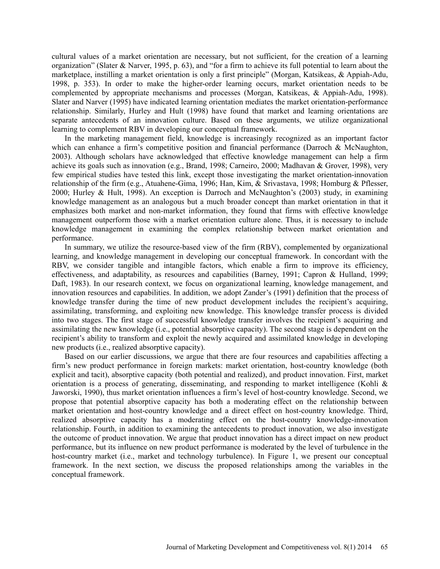cultural values of a market orientation are necessary, but not sufficient, for the creation of a learning organization" (Slater & Narver, 1995, p. 63), and "for a firm to achieve its full potential to learn about the marketplace, instilling a market orientation is only a first principle" (Morgan, Katsikeas, & Appiah-Adu, 1998, p. 353). In order to make the higher-order learning occurs, market orientation needs to be complemented by appropriate mechanisms and processes (Morgan, Katsikeas, & Appiah-Adu, 1998). Slater and Narver (1995) have indicated learning orientation mediates the market orientation-performance relationship. Similarly, Hurley and Hult (1998) have found that market and learning orientations are separate antecedents of an innovation culture. Based on these arguments, we utilize organizational learning to complement RBV in developing our conceptual framework.

In the marketing management field, knowledge is increasingly recognized as an important factor which can enhance a firm's competitive position and financial performance (Darroch & McNaughton, 2003). Although scholars have acknowledged that effective knowledge management can help a firm achieve its goals such as innovation (e.g., Brand, 1998; Carneiro, 2000; Madhavan & Grover, 1998), very few empirical studies have tested this link, except those investigating the market orientation-innovation relationship of the firm (e.g., Atuahene-Gima, 1996; Han, Kim, & Srivastava, 1998; Homburg & Pflesser, 2000; Hurley & Hult, 1998). An exception is Darroch and McNaughton's (2003) study, in examining knowledge management as an analogous but a much broader concept than market orientation in that it emphasizes both market and non-market information, they found that firms with effective knowledge management outperform those with a market orientation culture alone. Thus, it is necessary to include knowledge management in examining the complex relationship between market orientation and performance.

In summary, we utilize the resource-based view of the firm (RBV), complemented by organizational learning, and knowledge management in developing our conceptual framework. In concordant with the RBV, we consider tangible and intangible factors, which enable a firm to improve its efficiency, effectiveness, and adaptability, as resources and capabilities (Barney, 1991; Capron & Hulland, 1999; Daft, 1983). In our research context, we focus on organizational learning, knowledge management, and innovation resources and capabilities. In addition, we adopt Zander's (1991) definition that the process of knowledge transfer during the time of new product development includes the recipient's acquiring, assimilating, transforming, and exploiting new knowledge. This knowledge transfer process is divided into two stages. The first stage of successful knowledge transfer involves the recipient's acquiring and assimilating the new knowledge (i.e., potential absorptive capacity). The second stage is dependent on the recipient's ability to transform and exploit the newly acquired and assimilated knowledge in developing new products (i.e., realized absorptive capacity).

Based on our earlier discussions, we argue that there are four resources and capabilities affecting a firm's new product performance in foreign markets: market orientation, host-country knowledge (both explicit and tacit), absorptive capacity (both potential and realized), and product innovation. First, market orientation is a process of generating, disseminating, and responding to market intelligence (Kohli  $\&$ Jaworski, 1990), thus market orientation influences a firm's level of host-country knowledge. Second, we propose that potential absorptive capacity has both a moderating effect on the relationship between market orientation and host-country knowledge and a direct effect on host-country knowledge. Third, realized absorptive capacity has a moderating effect on the host-country knowledge-innovation relationship. Fourth, in addition to examining the antecedents to product innovation, we also investigate the outcome of product innovation. We argue that product innovation has a direct impact on new product performance, but its influence on new product performance is moderated by the level of turbulence in the host-country market (i.e., market and technology turbulence). In Figure 1, we present our conceptual framework. In the next section, we discuss the proposed relationships among the variables in the conceptual framework.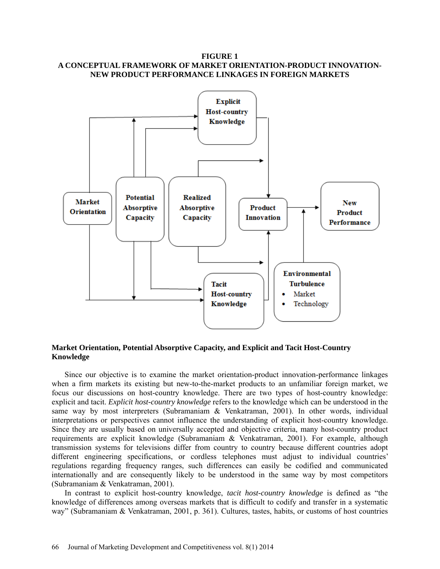## **FIGURE 1 A CONCEPTUAL FRAMEWORK OF MARKET ORIENTATION-PRODUCT INNOVATION-NEW PRODUCT PERFORMANCE LINKAGES IN FOREIGN MARKETS**



# **Market Orientation, Potential Absorptive Capacity, and Explicit and Tacit Host-Country Knowledge**

Since our objective is to examine the market orientation-product innovation-performance linkages when a firm markets its existing but new-to-the-market products to an unfamiliar foreign market, we focus our discussions on host-country knowledge. There are two types of host-country knowledge: explicit and tacit. *Explicit host-country knowledge* refers to the knowledge which can be understood in the same way by most interpreters (Subramaniam & Venkatraman, 2001). In other words, individual interpretations or perspectives cannot influence the understanding of explicit host-country knowledge. Since they are usually based on universally accepted and objective criteria, many host-country product requirements are explicit knowledge (Subramaniam & Venkatraman, 2001). For example, although transmission systems for televisions differ from country to country because different countries adopt different engineering specifications, or cordless telephones must adjust to individual countries' regulations regarding frequency ranges, such differences can easily be codified and communicated internationally and are consequently likely to be understood in the same way by most competitors (Subramaniam & Venkatraman, 2001).

In contrast to explicit host-country knowledge, *tacit host-country knowledge* is defined as "the knowledge of differences among overseas markets that is difficult to codify and transfer in a systematic way" (Subramaniam & Venkatraman, 2001, p. 361). Cultures, tastes, habits, or customs of host countries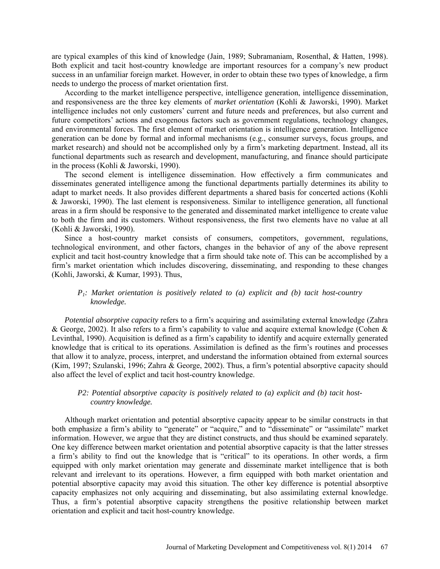are typical examples of this kind of knowledge (Jain, 1989; Subramaniam, Rosenthal, & Hatten, 1998). Both explicit and tacit host-country knowledge are important resources for a company's new product success in an unfamiliar foreign market. However, in order to obtain these two types of knowledge, a firm needs to undergo the process of market orientation first.

According to the market intelligence perspective, intelligence generation, intelligence dissemination, and responsiveness are the three key elements of *market orientation* (Kohli & Jaworski, 1990). Market intelligence includes not only customers' current and future needs and preferences, but also current and future competitors' actions and exogenous factors such as government regulations, technology changes, and environmental forces. The first element of market orientation is intelligence generation. Intelligence generation can be done by formal and informal mechanisms (e.g., consumer surveys, focus groups, and market research) and should not be accomplished only by a firm's marketing department. Instead, all its functional departments such as research and development, manufacturing, and finance should participate in the process (Kohli & Jaworski, 1990).

The second element is intelligence dissemination. How effectively a firm communicates and disseminates generated intelligence among the functional departments partially determines its ability to adapt to market needs. It also provides different departments a shared basis for concerted actions (Kohli & Jaworski, 1990). The last element is responsiveness. Similar to intelligence generation, all functional areas in a firm should be responsive to the generated and disseminated market intelligence to create value to both the firm and its customers. Without responsiveness, the first two elements have no value at all (Kohli & Jaworski, 1990).

Since a host-country market consists of consumers, competitors, government, regulations, technological environment, and other factors, changes in the behavior of any of the above represent explicit and tacit host-country knowledge that a firm should take note of. This can be accomplished by a firm's market orientation which includes discovering, disseminating, and responding to these changes (Kohli, Jaworski, & Kumar, 1993). Thus,

# *P1: Market orientation is positively related to (a) explicit and (b) tacit host-country knowledge.*

*Potential absorptive capacity* refers to a firm's acquiring and assimilating external knowledge (Zahra & George, 2002). It also refers to a firm's capability to value and acquire external knowledge (Cohen  $\&$ Levinthal, 1990). Acquisition is defined as a firm's capability to identify and acquire externally generated knowledge that is critical to its operations. Assimilation is defined as the firm's routines and processes that allow it to analyze, process, interpret, and understand the information obtained from external sources (Kim, 1997; Szulanski, 1996; Zahra & George, 2002). Thus, a firm's potential absorptive capacity should also affect the level of explict and tacit host-country knowledge.

## *P2: Potential absorptive capacity is positively related to (a) explicit and (b) tacit hostcountry knowledge.*

Although market orientation and potential absorptive capacity appear to be similar constructs in that both emphasize a firm's ability to "generate" or "acquire," and to "disseminate" or "assimilate" market information. However, we argue that they are distinct constructs, and thus should be examined separately. One key difference between market orientation and potential absorptive capacity is that the latter stresses a firm's ability to find out the knowledge that is "critical" to its operations. In other words, a firm equipped with only market orientation may generate and disseminate market intelligence that is both relevant and irrelevant to its operations. However, a firm equipped with both market orientation and potential absorptive capacity may avoid this situation. The other key difference is potential absorptive capacity emphasizes not only acquiring and disseminating, but also assimilating external knowledge. Thus, a firm's potential absorptive capacity strengthens the positive relationship between market orientation and explicit and tacit host-country knowledge.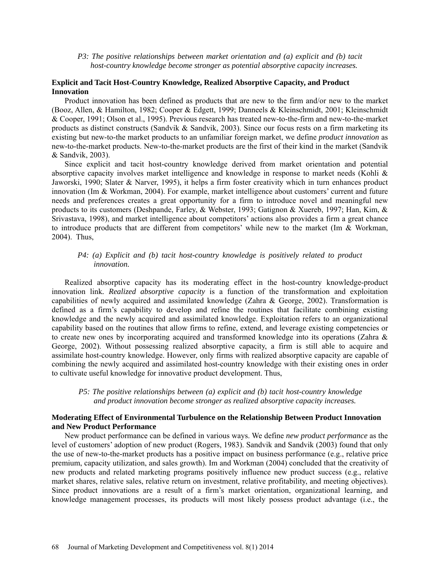#### *P3: The positive relationships between market orientation and (a) explicit and (b) tacit host-country knowledge become stronger as potential absorptive capacity increases.*

# **Explicit and Tacit Host-Country Knowledge, Realized Absorptive Capacity, and Product Innovation**

Product innovation has been defined as products that are new to the firm and/or new to the market (Booz, Allen, & Hamilton, 1982; Cooper & Edgett, 1999; Danneels & Kleinschmidt, 2001; Kleinschmidt & Cooper, 1991; Olson et al., 1995). Previous research has treated new-to-the-firm and new-to-the-market products as distinct constructs (Sandvik & Sandvik, 2003). Since our focus rests on a firm marketing its existing but new-to-the market products to an unfamiliar foreign market, we define *product innovation* as new-to-the-market products. New-to-the-market products are the first of their kind in the market (Sandvik & Sandvik, 2003).

Since explicit and tacit host-country knowledge derived from market orientation and potential absorptive capacity involves market intelligence and knowledge in response to market needs (Kohli & Jaworski, 1990; Slater & Narver, 1995), it helps a firm foster creativity which in turn enhances product innovation (Im & Workman, 2004). For example, market intelligence about customers' current and future needs and preferences creates a great opportunity for a firm to introduce novel and meaningful new products to its customers (Deshpande, Farley, & Webster, 1993; Gatignon & Xuereb, 1997; Han, Kim, & Srivastava, 1998), and market intelligence about competitors' actions also provides a firm a great chance to introduce products that are different from competitors' while new to the market (Im & Workman, 2004). Thus,

## *P4: (a) Explicit and (b) tacit host-country knowledge is positively related to product innovation.*

Realized absorptive capacity has its moderating effect in the host-country knowledge-product innovation link*. Realized absorptive capacity* is a function of the transformation and exploitation capabilities of newly acquired and assimilated knowledge (Zahra & George, 2002). Transformation is defined as a firm's capability to develop and refine the routines that facilitate combining existing knowledge and the newly acquired and assimilated knowledge. Exploitation refers to an organizational capability based on the routines that allow firms to refine, extend, and leverage existing competencies or to create new ones by incorporating acquired and transformed knowledge into its operations (Zahra & George, 2002). Without possessing realized absorptive capacity, a firm is still able to acquire and assimilate host-country knowledge. However, only firms with realized absorptive capacity are capable of combining the newly acquired and assimilated host-country knowledge with their existing ones in order to cultivate useful knowledge for innovative product development. Thus,

## *P5: The positive relationships between (a) explicit and (b) tacit host-country knowledge and product innovation become stronger as realized absorptive capacity increases.*

## **Moderating Effect of Environmental Turbulence on the Relationship Between Product Innovation and New Product Performance**

New product performance can be defined in various ways. We define *new product performance* as the level of customers' adoption of new product (Rogers, 1983). Sandvik and Sandvik (2003) found that only the use of new-to-the-market products has a positive impact on business performance (e.g., relative price premium, capacity utilization, and sales growth). Im and Workman (2004) concluded that the creativity of new products and related marketing programs positively influence new product success (e.g., relative market shares, relative sales, relative return on investment, relative profitability, and meeting objectives). Since product innovations are a result of a firm's market orientation, organizational learning, and knowledge management processes, its products will most likely possess product advantage (i.e., the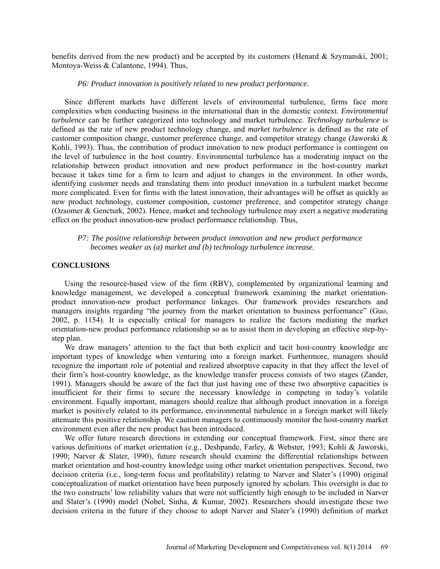benefits derived from the new product) and be accepted by its customers (Henard & Szymanski, 2001; Montoya-Weiss & Calantone, 1994). Thus,

#### *P6: Product innovation is positively related to new product performance.*

Since different markets have different levels of environmental turbulence, firms face more complexities when conducting business in the international than in the domestic context. *Environmental turbulence* can be further categorized into technology and market turbulence. *Technology turbulence* is defined as the rate of new product technology change, and *market turbulence* is defined as the rate of customer composition change, customer preference change, and competitor strategy change (Jaworski  $\&$ Kohli, 1993). Thus, the contribution of product innovation to new product performance is contingent on the level of turbulence in the host country. Environmental turbulence has a moderating impact on the relationship between product innovation and new product performance in the host-country market because it takes time for a firm to learn and adjust to changes in the environment. In other words, identifying customer needs and translating them into product innovation in a turbulent market become more complicated. Even for firms with the latest innovation, their advantages will be offset as quickly as new product technology, customer composition, customer preference, and competitor strategy change (Ozsomer & Gencturk, 2002). Hence, market and technology turbulence may exert a negative moderating effect on the product innovation-new product performance relationship. Thus,

# *P7: The positive relationship between product innovation and new product performance becomes weaker as (a) market and (b) technology turbulence increase.*

#### **CONCLUSIONS**

Using the resource-based view of the firm (RBV), complemented by organizational learning and knowledge management, we developed a conceptual framework examining the market orientationproduct innovation-new product performance linkages. Our framework provides researchers and managers insights regarding "the journey from the market orientation to business performance" (Guo, 2002, p. 1154). It is especially critical for managers to realize the factors mediating the market orientation-new product performance relationship so as to assist them in developing an effective step-bystep plan.

We draw managers' attention to the fact that both explicit and tacit host-country knowledge are important types of knowledge when venturing into a foreign market. Furthermore, managers should recognize the important role of potential and realized absorptive capacity in that they affect the level of their firm's host-country knowledge, as the knowledge transfer process consists of two stages (Zander, 1991). Managers should be aware of the fact that just having one of these two absorptive capacities is insufficient for their firms to secure the necessary knowledge in competing in today's volatile environment. Equally important, managers should realize that although product innovation in a foreign market is positively related to its performance, environmental turbulence in a foreign market will likely attenuate this positive relationship. We caution managers to continuously monitor the host-country market environment even after the new product has been introduced.

We offer future research directions in extending our conceptual framework. First, since there are various definitions of market orientation (e.g., Deshpande, Farley, & Webster, 1993; Kohli & Jaworski, 1990; Narver & Slater, 1990), future research should examine the differential relationships between market orientation and host-country knowledge using other market orientation perspectives. Second, two decision criteria (i.e., long-term focus and profitability) relating to Narver and Slater's (1990) original conceptualization of market orientation have been purposely ignored by scholars. This oversight is due to the two constructs' low reliability values that were not sufficiently high enough to be included in Narver and Slater's (1990) model (Nobel, Sinha, & Kumar, 2002). Researchers should investigate these two decision criteria in the future if they choose to adopt Narver and Slater's (1990) definition of market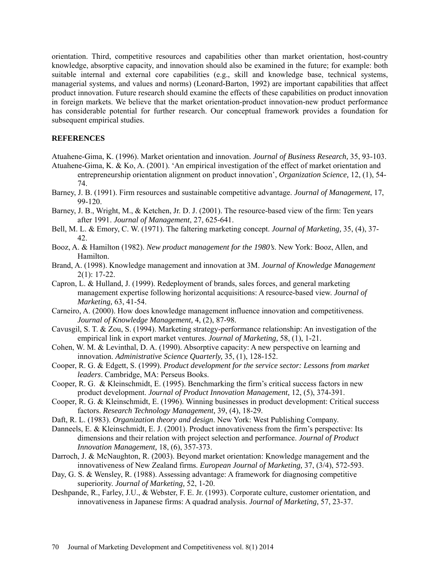orientation. Third, competitive resources and capabilities other than market orientation, host-country knowledge, absorptive capacity, and innovation should also be examined in the future; for example: both suitable internal and external core capabilities (e.g., skill and knowledge base, technical systems, managerial systems, and values and norms) (Leonard-Barton, 1992) are important capabilities that affect product innovation. Future research should examine the effects of these capabilities on product innovation in foreign markets. We believe that the market orientation-product innovation-new product performance has considerable potential for further research. Our conceptual framework provides a foundation for subsequent empirical studies.

# **REFERENCES**

- Atuahene-Gima, K. (1996). Market orientation and innovation. *Journal of Business Research,* 35, 93-103.
- Atuahene-Gima, K. & Ko, A. (2001). 'An empirical investigation of the effect of market orientation and entrepreneurship orientation alignment on product innovation', *Organization Science,* 12, (1), 54- 74.
- Barney, J. B. (1991). Firm resources and sustainable competitive advantage. *Journal of Management*, 17, 99-120.
- Barney, J. B., Wright, M., & Ketchen, Jr. D. J. (2001). The resource-based view of the firm: Ten years after 1991. *Journal of Management*, 27, 625-641.
- Bell, M. L. & Emory, C. W. (1971). The faltering marketing concept. *Journal of Marketing,* 35, (4), 37- 42.
- Booz, A. & Hamilton (1982). *New product management for the 1980's*. New York: Booz, Allen, and Hamilton.
- Brand, A. (1998). Knowledge management and innovation at 3M. *Journal of Knowledge Management* 2(1): 17-22.
- Capron, L. & Hulland, J. (1999). Redeployment of brands, sales forces, and general marketing management expertise following horizontal acquisitions: A resource-based view. *Journal of Marketing,* 63, 41-54.
- Carneiro, A. (2000). How does knowledge management influence innovation and competitiveness. *Journal of Knowledge Management,* 4, (2), 87-98.
- Cavusgil, S. T. & Zou, S. (1994). Marketing strategy-performance relationship: An investigation of the empirical link in export market ventures. *Journal of Marketing,* 58, (1), 1-21.
- Cohen, W. M. & Levinthal, D. A. (1990). Absorptive capacity: A new perspective on learning and innovation. *Administrative Science Quarterly,* 35, (1), 128-152.
- Cooper, R. G. & Edgett, S. (1999). *Product development for the service sector: Lessons from market leaders*. Cambridge, MA: Perseus Books.
- Cooper, R. G. & Kleinschmidt, E. (1995). Benchmarking the firm's critical success factors in new product development. *Journal of Product Innovation Management,* 12, (5), 374-391.
- Cooper, R. G. & Kleinschmidt, E. (1996). Winning businesses in product development: Critical success factors. *Research Technology Management,* 39, (4), 18-29.
- Daft, R. L. (1983). *Organization theory and design*. New York: West Publishing Company.
- Danneels, E. & Kleinschmidt, E. J. (2001). Product innovativeness from the firm's perspective: Its dimensions and their relation with project selection and performance. *Journal of Product Innovation Management,* 18, (6), 357-373.
- Darroch, J. & McNaughton, R. (2003). Beyond market orientation: Knowledge management and the innovativeness of New Zealand firms. *European Journal of Marketing,* 37, (3/4), 572-593.
- Day, G. S. & Wensley, R. (1988). Assessing advantage: A framework for diagnosing competitive superiority. *Journal of Marketing,* 52, 1-20.
- Deshpande, R., Farley, J.U., & Webster, F. E. Jr. (1993). Corporate culture, customer orientation, and innovativeness in Japanese firms: A quadrad analysis. *Journal of Marketing,* 57, 23-37.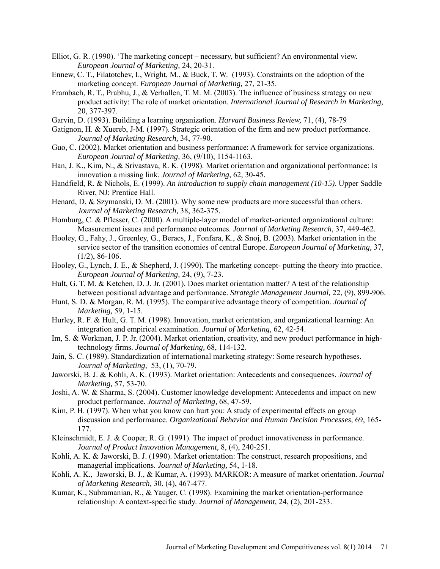- Elliot, G. R. (1990). 'The marketing concept necessary, but sufficient? An environmental view. *European Journal of Marketing,* 24, 20-31.
- Ennew, C. T., Filatotchev, I., Wright, M., & Buck, T. W. (1993). Constraints on the adoption of the marketing concept. *European Journal of Marketing,* 27, 21-35.
- Frambach, R. T., Prabhu, J., & Verhallen, T. M. M. (2003). The influence of business strategy on new product activity: The role of market orientation. *International Journal of Research in Marketing,* 20, 377-397.
- Garvin, D. (1993). Building a learning organization. *Harvard Business Review,* 71, (4), 78-79
- Gatignon, H. & Xuereb, J-M. (1997). Strategic orientation of the firm and new product performance. *Journal of Marketing Research,* 34, 77-90.
- Guo, C. (2002). Market orientation and business performance: A framework for service organizations. *European Journal of Marketing,* 36, (9/10), 1154-1163.
- Han, J. K., Kim, N., & Srivastava, R. K. (1998). Market orientation and organizational performance: Is innovation a missing link. *Journal of Marketing,* 62, 30-45.
- Handfield, R. & Nichols, E. (1999). *An introduction to supply chain management (10-15)*. Upper Saddle River, NJ: Prentice Hall.
- Henard, D. & Szymanski, D. M. (2001). Why some new products are more successful than others. *Journal of Marketing Research,* 38, 362-375.
- Homburg, C. & Pflesser, C. (2000). A multiple-layer model of market-oriented organizational culture: Measurement issues and performance outcomes. *Journal of Marketing Research,* 37, 449-462.
- Hooley, G., Fahy, J., Greenley, G., Beracs, J., Fonfara, K., & Snoj, B. (2003). Market orientation in the service sector of the transition economies of central Europe. *European Journal of Marketing,* 37,  $(1/2)$ , 86-106.
- Hooley, G., Lynch, J. E., & Shepherd, J. (1990). The marketing concept- putting the theory into practice. *European Journal of Marketing,* 24, (9), 7-23.
- Hult, G. T. M. & Ketchen, D. J. Jr. (2001). Does market orientation matter? A test of the relationship between positional advantage and performance. *Strategic Management Journal,* 22, (9), 899-906.
- Hunt, S. D. & Morgan, R. M. (1995). The comparative advantage theory of competition. *Journal of Marketing,* 59, 1-15.
- Hurley, R. F. & Hult, G. T. M. (1998). Innovation, market orientation, and organizational learning: An integration and empirical examination. *Journal of Marketing,* 62, 42-54.
- Im, S. & Workman, J. P. Jr. (2004). Market orientation, creativity, and new product performance in hightechnology firms. *Journal of Marketing,* 68, 114-132.
- Jain, S. C. (1989). Standardization of international marketing strategy: Some research hypotheses. *Journal of Marketing,* 53, (1), 70-79.
- Jaworski, B. J. & Kohli, A. K. (1993). Market orientation: Antecedents and consequences. *Journal of Marketing,* 57, 53-70.
- Joshi, A. W. & Sharma, S. (2004). Customer knowledge development: Antecedents and impact on new product performance. *Journal of Marketing,* 68, 47-59.
- Kim, P. H. (1997). When what you know can hurt you: A study of experimental effects on group discussion and performance. *Organizational Behavior and Human Decision Processes,* 69, 165- 177.
- Kleinschmidt, E. J. & Cooper, R. G. (1991). The impact of product innovativeness in performance. *Journal of Product Innovation Management,* 8, (4), 240-251.
- Kohli, A. K. & Jaworski, B. J. (1990). Market orientation: The construct, research propositions, and managerial implications. *Journal of Marketing,* 54, 1-18.
- Kohli, A. K., Jaworski, B. J., & Kumar, A. (1993). MARKOR: A measure of market orientation. *Journal of Marketing Research,* 30, (4), 467-477.
- Kumar, K., Subramanian, R., & Yauger, C. (1998). Examining the market orientation-performance relationship: A context-specific study. *Journal of Management,* 24, (2), 201-233.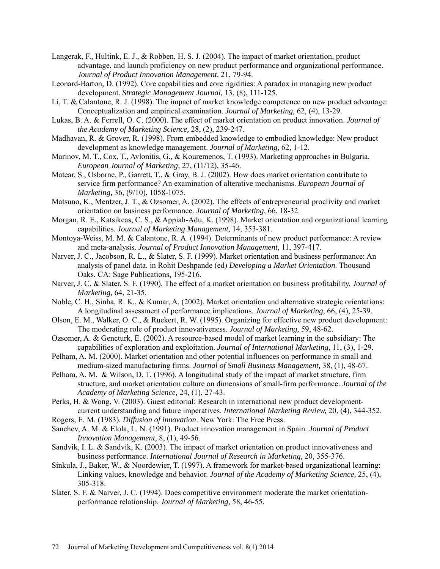- Langerak, F., Hultink, E. J., & Robben, H. S. J. (2004). The impact of market orientation, product advantage, and launch proficiency on new product performance and organizational performance. *Journal of Product Innovation Management,* 21, 79-94.
- Leonard-Barton, D. (1992). Core capabilities and core rigidities: A paradox in managing new product development. *Strategic Management Journal,* 13, (8), 111-125.
- Li, T. & Calantone, R. J. (1998). The impact of market knowledge competence on new product advantage: Conceptualization and empirical examination. *Journal of Marketing,* 62, (4), 13-29.
- Lukas, B. A. & Ferrell, O. C. (2000). The effect of market orientation on product innovation. *Journal of the Academy of Marketing Science,* 28, (2), 239-247.
- Madhavan, R. & Grover, R. (1998). From embedded knowledge to embodied knowledge: New product development as knowledge management. *Journal of Marketing,* 62, 1-12.
- Marinov, M. T., Cox, T., Avlonitis, G., & Kouremenos, T. (1993). Marketing approaches in Bulgaria. *European Journal of Marketing,* 27, (11/12), 35-46.
- Matear, S., Osborne, P., Garrett, T., & Gray, B. J. (2002). How does market orientation contribute to service firm performance? An examination of alterative mechanisms. *European Journal of Marketing,* 36, (9/10), 1058-1075.
- Matsuno, K., Mentzer, J. T., & Ozsomer, A. (2002). The effects of entrepreneurial proclivity and market orientation on business performance. *Journal of Marketing,* 66, 18-32.
- Morgan, R. E., Katsikeas, C. S., & Appiah-Adu, K. (1998). Market orientation and organizational learning capabilities. *Journal of Marketing Management,* 14, 353-381.
- Montoya-Weiss, M. M. & Calantone, R. A. (1994). Determinants of new product performance: A review and meta-analysis. *Journal of Product Innovation Management,* 11, 397-417.
- Narver, J. C., Jacobson, R. L., & Slater, S. F. (1999). Market orientation and business performance: An analysis of panel data. in Rohit Deshpande (ed) *Developing a Market Orientation.* Thousand Oaks, CA: Sage Publications, 195-216.
- Narver, J. C. & Slater, S. F. (1990). The effect of a market orientation on business profitability. *Journal of Marketing,* 64, 21-35.
- Noble, C. H., Sinha, R. K., & Kumar, A. (2002). Market orientation and alternative strategic orientations: A longitudinal assessment of performance implications. *Journal of Marketing,* 66, (4), 25-39.
- Olson, E. M., Walker, O. C., & Ruekert, R. W. (1995). Organizing for effective new product development: The moderating role of product innovativeness. *Journal of Marketing,* 59, 48-62.
- Ozsomer, A. & Gencturk, E. (2002). A resource-based model of market learning in the subsidiary: The capabilities of exploration and exploitation. *Journal of International Marketing,* 11, (3), 1-29.
- Pelham, A. M. (2000). Market orientation and other potential influences on performance in small and medium-sized manufacturing firms. *Journal of Small Business Management,* 38, (1), 48-67.
- Pelham, A. M. & Wilson, D. T. (1996). A longitudinal study of the impact of market structure, firm structure, and market orientation culture on dimensions of small-firm performance. *Journal of the Academy of Marketing Science,* 24, (1), 27-43.
- Perks, H. & Wong, V. (2003). Guest editorial: Research in international new product developmentcurrent understanding and future imperatives. *International Marketing Review,* 20, (4), 344-352.
- Rogers, E. M. (1983). *Diffusion of innovation*. New York: The Free Press.
- Sanchev, A. M. & Elola, L. N. (1991). Product innovation management in Spain. *Journal of Product Innovation Management,* 8, (1), 49-56.
- Sandvik, I. L. & Sandvik, K. (2003). The impact of market orientation on product innovativeness and business performance. *International Journal of Research in Marketing,* 20, 355-376.
- Sinkula, J., Baker, W., & Noordewier, T. (1997). A framework for market-based organizational learning: Linking values, knowledge and behavior. *Journal of the Academy of Marketing Science,* 25, (4), 305-318.
- Slater, S. F. & Narver, J. C. (1994). Does competitive environment moderate the market orientationperformance relationship. *Journal of Marketing,* 58, 46-55.